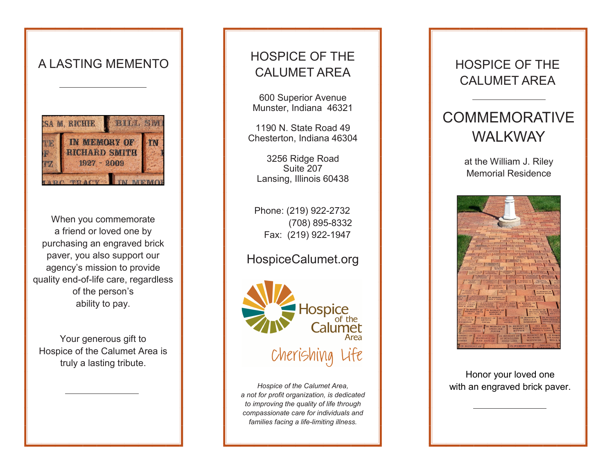

When you commemorate a friend or loved one by purchasing an engraved brick paver, you also support our agency's mission to provide quality end-of-life care, regardless of the person's ability to pay.

Your generous gift to Hospice of the Calumet Area is truly a lasting tribute.

## HOSPICE OF THE A LASTING MEMENTO

600 Superior Avenue Munster, Indiana 46321

1190 N. State Road 49 Chesterton, Indiana 46304

3256 Ridge Road Suite 207 Lansing, Illinois 60438

Phone: (219) 922-2732 (708) 895-8332 Fax: (219) 922-1947

#### HospiceCalumet.org



*a not for profit organization, is dedicated to improving the quality of life through compassionate care for individuals and families facing a life-limiting illness.*

### HOSPICE OF THE CALUMET AREA

# **COMMEMORATIVE** WALKWAY

at the William J. Riley Memorial Residence



Honor your loved one *Hospice of the Calumet Area,* **With an engraved brick paver.**